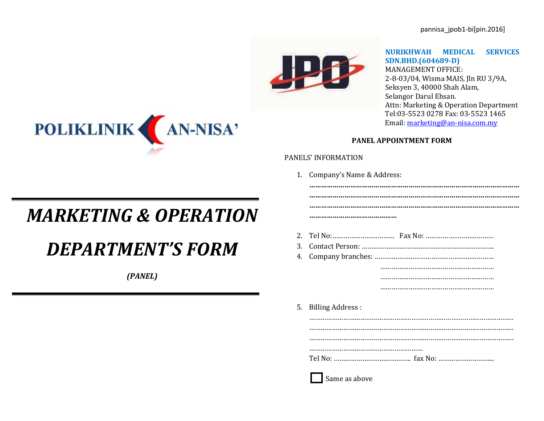

### **NURIKHWAH MEDICAL SERVICES SDN.BHD.(604689-D)**

MANAGEMENT OFFICE: 2-8-03/04, Wisma MAIS, Jln RU 3/9A, Seksyen 3, 40000 Shah Alam, Selangor Darul Ehsan. Attn: Marketing & Operation Department <Tel:03-5523> 0278 Fax: 03-5523 1465 Email[: marketing@an-nisa.com.my](mailto:marketing@an-nisa.com.my)

### **PANEL APPOINTMENT FORM**

**………………………………………………………………………………………………**

#### PANELS' INFORMATION

1. Company's Name & Address:

# *MARKETING & OPERATION*

# *DEPARTMENT'S FORM*

*(PANEL)*

| 5. Billing Address: |
|---------------------|
|                     |
|                     |
|                     |
|                     |
|                     |
|                     |
|                     |
| Same as above       |